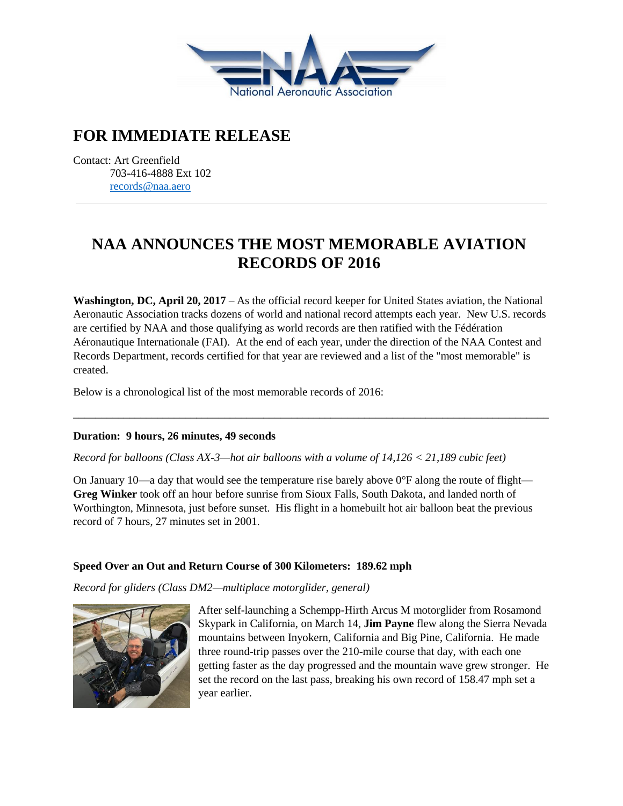

## **FOR IMMEDIATE RELEASE**

Contact: Art Greenfield 703-416-4888 Ext 102 [records@naa.aero](mailto:records@naa.aero)

# **NAA ANNOUNCES THE MOST MEMORABLE AVIATION RECORDS OF 2016**

**Washington, DC, April 20, 2017** – As the official record keeper for United States aviation, the National Aeronautic Association tracks dozens of world and national record attempts each year. New U.S. records are certified by NAA and those qualifying as world records are then ratified with the Fédération Aéronautique Internationale (FAI). At the end of each year, under the direction of the NAA Contest and Records Department, records certified for that year are reviewed and a list of the "most memorable" is created.

\_\_\_\_\_\_\_\_\_\_\_\_\_\_\_\_\_\_\_\_\_\_\_\_\_\_\_\_\_\_\_\_\_\_\_\_\_\_\_\_\_\_\_\_\_\_\_\_\_\_\_\_\_\_\_\_\_\_\_\_\_\_\_\_\_\_\_\_\_\_\_\_\_\_\_\_\_\_\_\_\_\_\_\_\_

Below is a chronological list of the most memorable records of 2016:

#### **Duration: 9 hours, 26 minutes, 49 seconds**

#### *Record for balloons (Class AX-3—hot air balloons with a volume of 14,126 < 21,189 cubic feet)*

On January 10—a day that would see the temperature rise barely above  $0^{\circ}$ F along the route of flight— **Greg Winker** took off an hour before sunrise from Sioux Falls, South Dakota, and landed north of Worthington, Minnesota, just before sunset. His flight in a homebuilt hot air balloon beat the previous record of 7 hours, 27 minutes set in 2001.

## **Speed Over an Out and Return Course of 300 Kilometers: 189.62 mph**

#### *Record for gliders (Class DM2—multiplace motorglider, general)*



After self-launching a Schempp-Hirth Arcus M motorglider from Rosamond Skypark in California, on March 14, **Jim Payne** flew along the Sierra Nevada mountains between Inyokern, California and Big Pine, California. He made three round-trip passes over the 210-mile course that day, with each one getting faster as the day progressed and the mountain wave grew stronger. He set the record on the last pass, breaking his own record of 158.47 mph set a year earlier.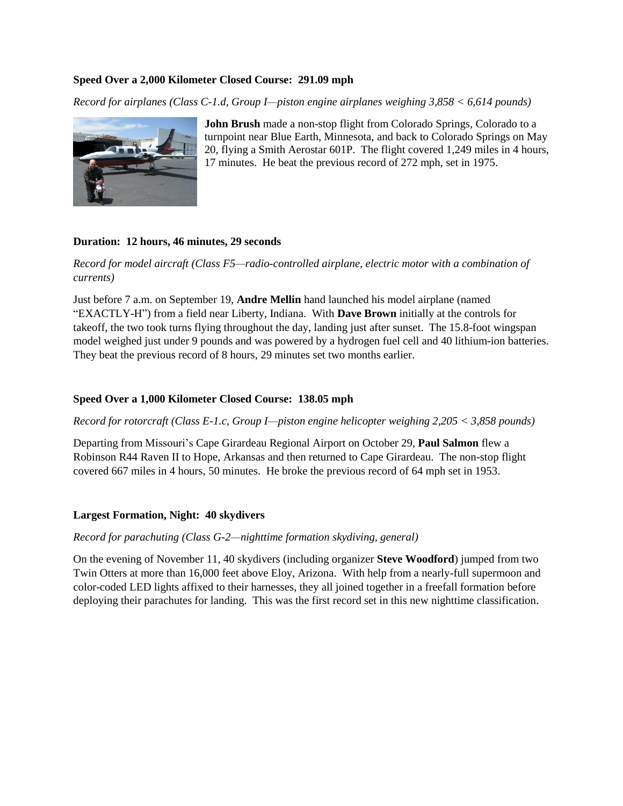#### **Speed Over a 2,000 Kilometer Closed Course: 291.09 mph**

*Record for airplanes (Class C-1.d, Group I—piston engine airplanes weighing 3,858 < 6,614 pounds)*



**John Brush** made a non-stop flight from Colorado Springs, Colorado to a turnpoint near Blue Earth, Minnesota, and back to Colorado Springs on May 20, flying a Smith Aerostar 601P. The flight covered 1,249 miles in 4 hours, 17 minutes. He beat the previous record of 272 mph, set in 1975.

#### **Duration: 12 hours, 46 minutes, 29 seconds**

*Record for model aircraft (Class F5—radio-controlled airplane, electric motor with a combination of currents)*

Just before 7 a.m. on September 19, **Andre Mellin** hand launched his model airplane (named "EXACTLY-H") from a field near Liberty, Indiana. With **Dave Brown** initially at the controls for takeoff, the two took turns flying throughout the day, landing just after sunset. The 15.8-foot wingspan model weighed just under 9 pounds and was powered by a hydrogen fuel cell and 40 lithium-ion batteries. They beat the previous record of 8 hours, 29 minutes set two months earlier.

#### **Speed Over a 1,000 Kilometer Closed Course: 138.05 mph**

*Record for rotorcraft (Class E-1.c, Group I—piston engine helicopter weighing 2,205 < 3,858 pounds)*

Departing from Missouri's Cape Girardeau Regional Airport on October 29, **Paul Salmon** flew a Robinson R44 Raven II to Hope, Arkansas and then returned to Cape Girardeau. The non-stop flight covered 667 miles in 4 hours, 50 minutes. He broke the previous record of 64 mph set in 1953.

#### **Largest Formation, Night: 40 skydivers**

#### *Record for parachuting (Class G-2—nighttime formation skydiving, general)*

On the evening of November 11, 40 skydivers (including organizer **Steve Woodford**) jumped from two Twin Otters at more than 16,000 feet above Eloy, Arizona. With help from a nearly-full supermoon and color-coded LED lights affixed to their harnesses, they all joined together in a freefall formation before deploying their parachutes for landing. This was the first record set in this new nighttime classification.